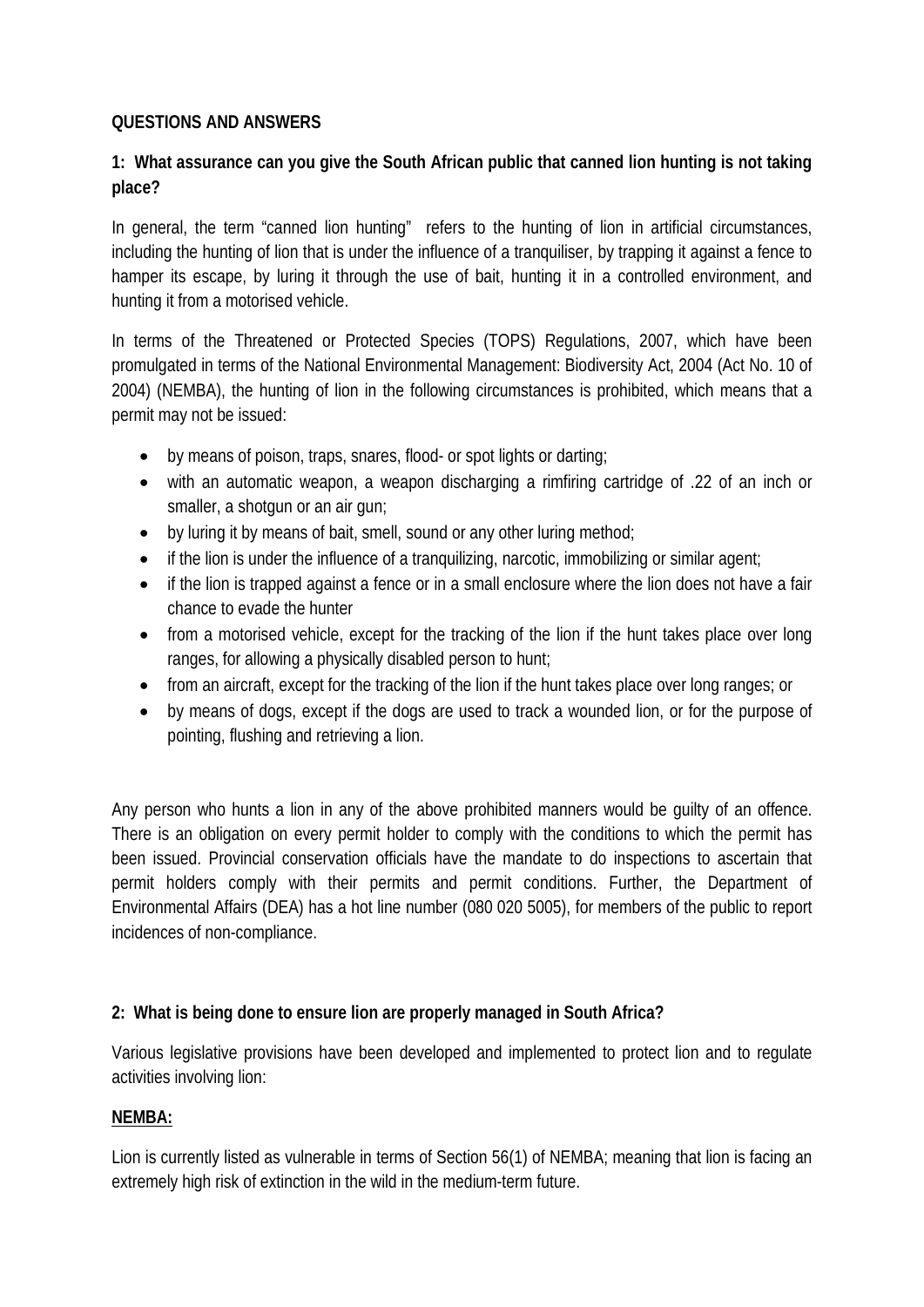#### **QUESTIONS AND ANSWERS**

### **1: What assurance can you give the South African public that canned lion hunting is not taking place?**

In general, the term "canned lion hunting" refers to the hunting of lion in artificial circumstances, including the hunting of lion that is under the influence of a tranquiliser, by trapping it against a fence to hamper its escape, by luring it through the use of bait, hunting it in a controlled environment, and hunting it from a motorised vehicle.

In terms of the Threatened or Protected Species (TOPS) Regulations, 2007, which have been promulgated in terms of the National Environmental Management: Biodiversity Act, 2004 (Act No. 10 of 2004) (NEMBA), the hunting of lion in the following circumstances is prohibited, which means that a permit may not be issued:

- by means of poison, traps, snares, flood- or spot lights or darting;
- with an automatic weapon, a weapon discharging a rimfiring cartridge of .22 of an inch or smaller, a shotgun or an air gun;
- by luring it by means of bait, smell, sound or any other luring method;
- if the lion is under the influence of a tranquilizing, narcotic, immobilizing or similar agent;
- if the lion is trapped against a fence or in a small enclosure where the lion does not have a fair chance to evade the hunter
- from a motorised vehicle, except for the tracking of the lion if the hunt takes place over long ranges, for allowing a physically disabled person to hunt;
- from an aircraft, except for the tracking of the lion if the hunt takes place over long ranges; or
- by means of dogs, except if the dogs are used to track a wounded lion, or for the purpose of pointing, flushing and retrieving a lion.

Any person who hunts a lion in any of the above prohibited manners would be guilty of an offence. There is an obligation on every permit holder to comply with the conditions to which the permit has been issued. Provincial conservation officials have the mandate to do inspections to ascertain that permit holders comply with their permits and permit conditions. Further, the Department of Environmental Affairs (DEA) has a hot line number (080 020 5005), for members of the public to report incidences of non-compliance.

#### **2: What is being done to ensure lion are properly managed in South Africa?**

Various legislative provisions have been developed and implemented to protect lion and to regulate activities involving lion:

#### **NEMBA:**

Lion is currently listed as vulnerable in terms of Section 56(1) of NEMBA; meaning that lion is facing an extremely high risk of extinction in the wild in the medium-term future.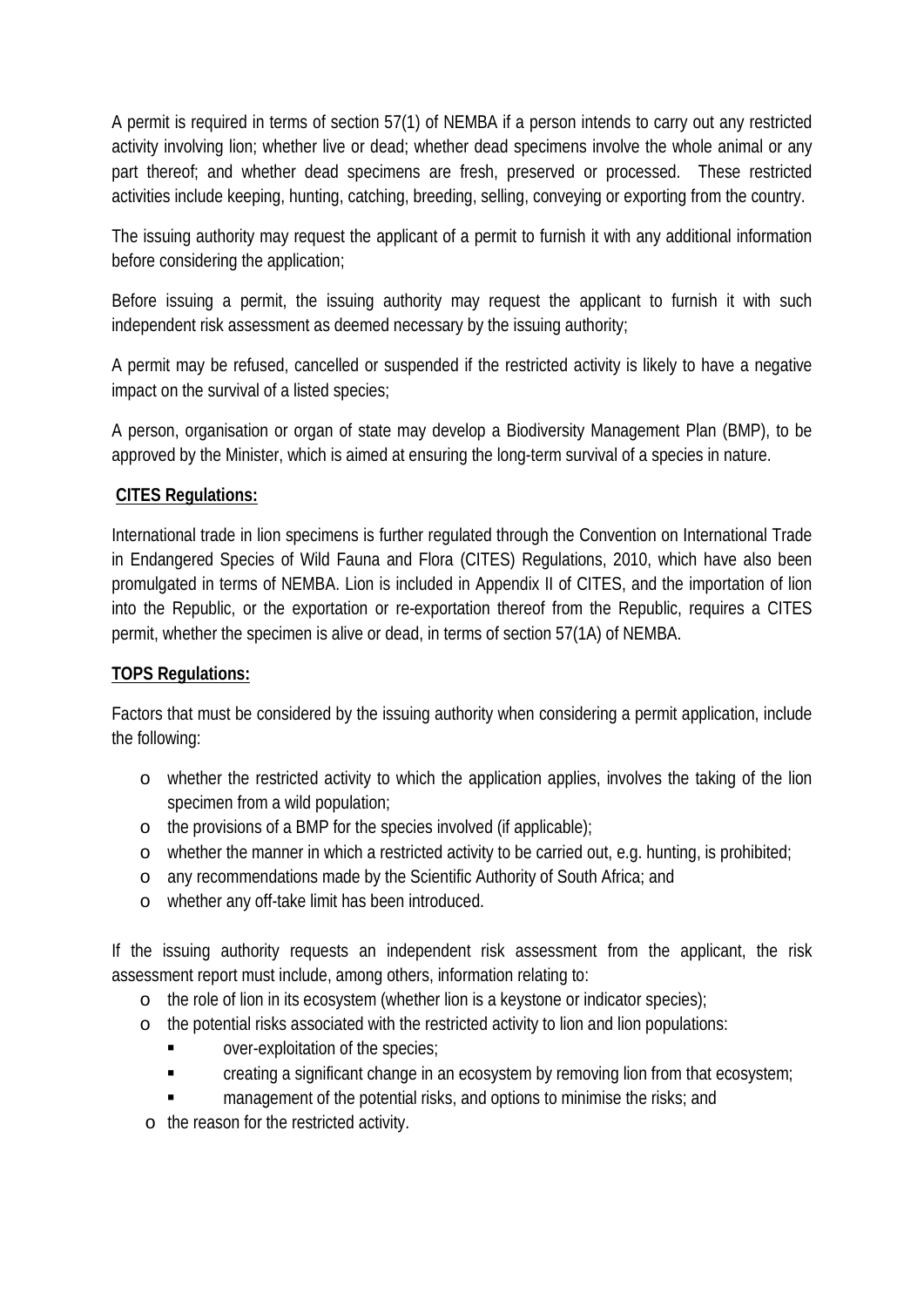A permit is required in terms of section 57(1) of NEMBA if a person intends to carry out any restricted activity involving lion; whether live or dead; whether dead specimens involve the whole animal or any part thereof; and whether dead specimens are fresh, preserved or processed. These restricted activities include keeping, hunting, catching, breeding, selling, conveying or exporting from the country.

The issuing authority may request the applicant of a permit to furnish it with any additional information before considering the application;

Before issuing a permit, the issuing authority may request the applicant to furnish it with such independent risk assessment as deemed necessary by the issuing authority;

A permit may be refused, cancelled or suspended if the restricted activity is likely to have a negative impact on the survival of a listed species;

A person, organisation or organ of state may develop a Biodiversity Management Plan (BMP), to be approved by the Minister, which is aimed at ensuring the long-term survival of a species in nature.

# **CITES Regulations:**

International trade in lion specimens is further regulated through the Convention on International Trade in Endangered Species of Wild Fauna and Flora (CITES) Regulations, 2010, which have also been promulgated in terms of NEMBA. Lion is included in Appendix II of CITES, and the importation of lion into the Republic, or the exportation or re-exportation thereof from the Republic, requires a CITES permit, whether the specimen is alive or dead, in terms of section 57(1A) of NEMBA.

#### **TOPS Regulations:**

Factors that must be considered by the issuing authority when considering a permit application, include the following:

- o whether the restricted activity to which the application applies, involves the taking of the lion specimen from a wild population;
- o the provisions of a BMP for the species involved (if applicable);
- o whether the manner in which a restricted activity to be carried out, e.g. hunting, is prohibited;
- o any recommendations made by the Scientific Authority of South Africa; and
- o whether any off-take limit has been introduced.

If the issuing authority requests an independent risk assessment from the applicant, the risk assessment report must include, among others, information relating to:

- o the role of lion in its ecosystem (whether lion is a keystone or indicator species);
- o the potential risks associated with the restricted activity to lion and lion populations:
	- **Example 3** over-exploitation of the species;
	- **Example 2** creating a significant change in an ecosystem by removing lion from that ecosystem;
	- management of the potential risks, and options to minimise the risks; and
- o the reason for the restricted activity.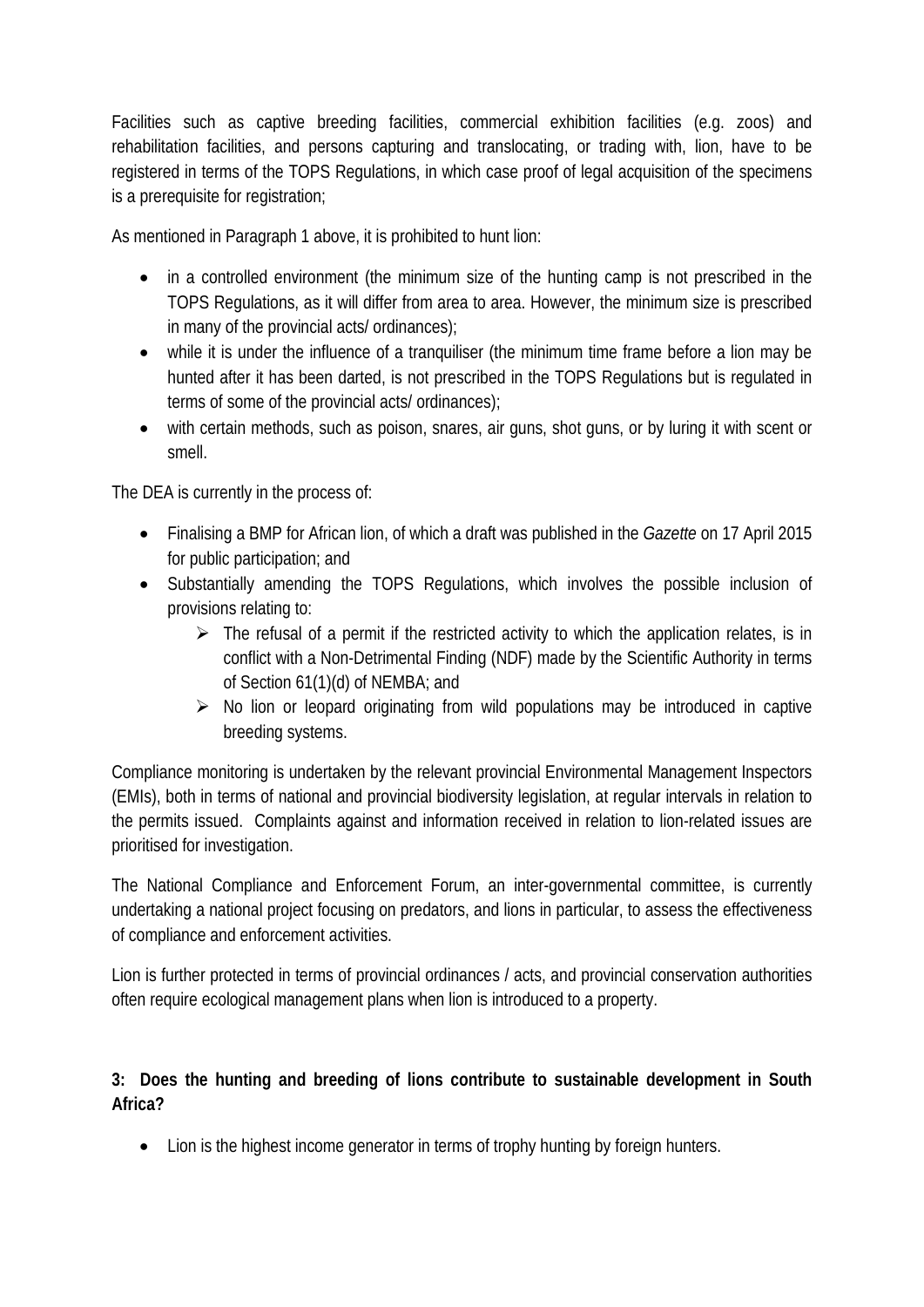Facilities such as captive breeding facilities, commercial exhibition facilities (e.g. zoos) and rehabilitation facilities, and persons capturing and translocating, or trading with, lion, have to be registered in terms of the TOPS Regulations, in which case proof of legal acquisition of the specimens is a prerequisite for registration;

As mentioned in Paragraph 1 above, it is prohibited to hunt lion:

- in a controlled environment (the minimum size of the hunting camp is not prescribed in the TOPS Regulations, as it will differ from area to area. However, the minimum size is prescribed in many of the provincial acts/ ordinances);
- while it is under the influence of a tranquiliser (the minimum time frame before a lion may be hunted after it has been darted, is not prescribed in the TOPS Regulations but is regulated in terms of some of the provincial acts/ ordinances);
- with certain methods, such as poison, snares, air guns, shot guns, or by luring it with scent or smell.

The DEA is currently in the process of:

- Finalising a BMP for African lion, of which a draft was published in the *Gazette* on 17 April 2015 for public participation; and
- Substantially amending the TOPS Regulations, which involves the possible inclusion of provisions relating to:
	- $\triangleright$  The refusal of a permit if the restricted activity to which the application relates, is in conflict with a Non-Detrimental Finding (NDF) made by the Scientific Authority in terms of Section 61(1)(d) of NEMBA; and
	- $\triangleright$  No lion or leopard originating from wild populations may be introduced in captive breeding systems.

Compliance monitoring is undertaken by the relevant provincial Environmental Management Inspectors (EMIs), both in terms of national and provincial biodiversity legislation, at regular intervals in relation to the permits issued. Complaints against and information received in relation to lion-related issues are prioritised for investigation.

The National Compliance and Enforcement Forum, an inter-governmental committee, is currently undertaking a national project focusing on predators, and lions in particular, to assess the effectiveness of compliance and enforcement activities.

Lion is further protected in terms of provincial ordinances / acts, and provincial conservation authorities often require ecological management plans when lion is introduced to a property.

# **3: Does the hunting and breeding of lions contribute to sustainable development in South Africa?**

• Lion is the highest income generator in terms of trophy hunting by foreign hunters.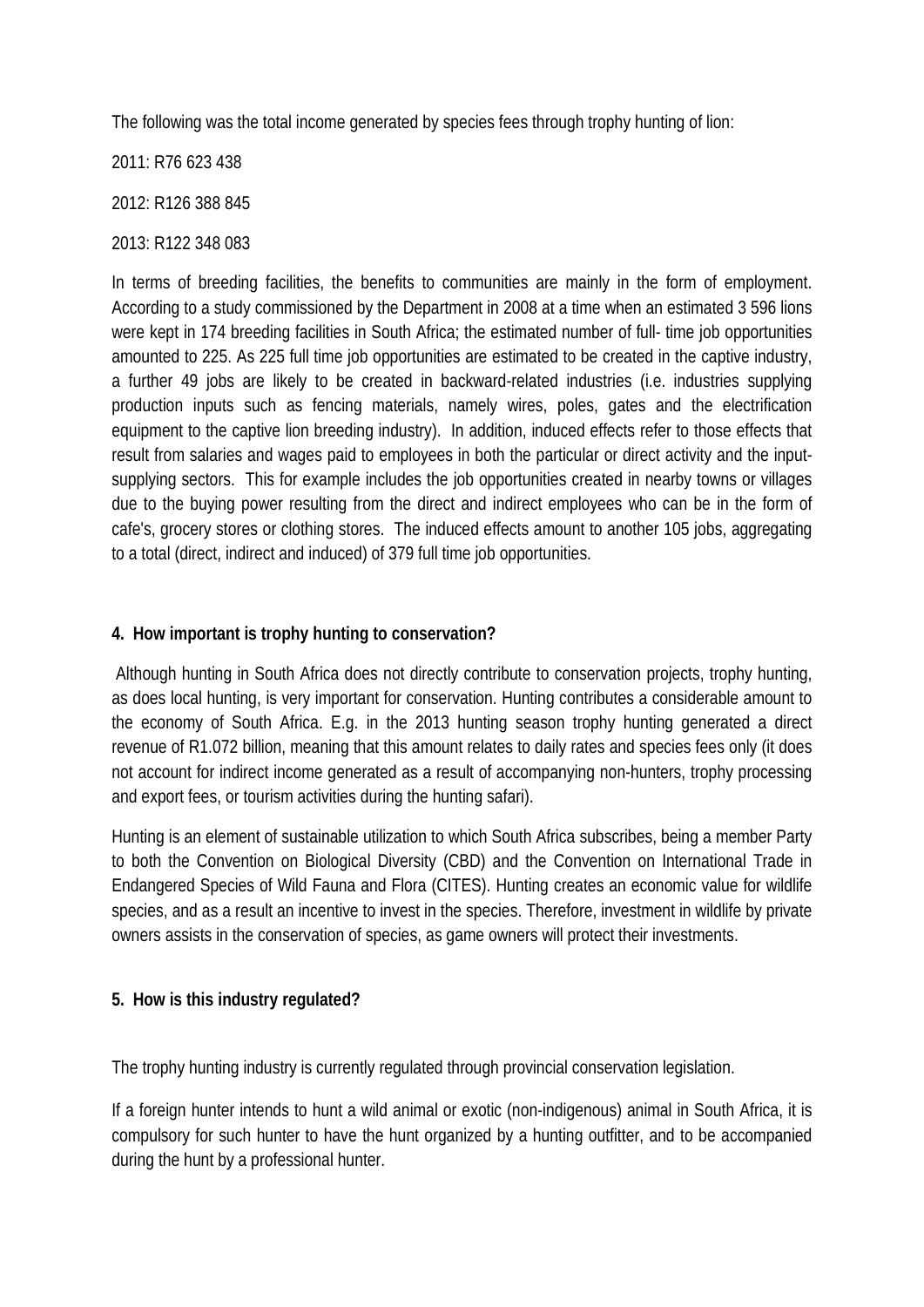The following was the total income generated by species fees through trophy hunting of lion:

2011: R76 623 438

2012: R126 388 845

2013: R122 348 083

In terms of breeding facilities, the benefits to communities are mainly in the form of employment. According to a study commissioned by the Department in 2008 at a time when an estimated 3 596 lions were kept in 174 breeding facilities in South Africa; the estimated number of full- time job opportunities amounted to 225. As 225 full time job opportunities are estimated to be created in the captive industry, a further 49 jobs are likely to be created in backward-related industries (i.e. industries supplying production inputs such as fencing materials, namely wires, poles, gates and the electrification equipment to the captive lion breeding industry). In addition, induced effects refer to those effects that result from salaries and wages paid to employees in both the particular or direct activity and the inputsupplying sectors. This for example includes the job opportunities created in nearby towns or villages due to the buying power resulting from the direct and indirect employees who can be in the form of cafe's, grocery stores or clothing stores. The induced effects amount to another 105 jobs, aggregating to a total (direct, indirect and induced) of 379 full time job opportunities.

# **4. How important is trophy hunting to conservation?**

Although hunting in South Africa does not directly contribute to conservation projects, trophy hunting, as does local hunting, is very important for conservation. Hunting contributes a considerable amount to the economy of South Africa. E.g. in the 2013 hunting season trophy hunting generated a direct revenue of R1.072 billion, meaning that this amount relates to daily rates and species fees only (it does not account for indirect income generated as a result of accompanying non-hunters, trophy processing and export fees, or tourism activities during the hunting safari).

Hunting is an element of sustainable utilization to which South Africa subscribes, being a member Party to both the Convention on Biological Diversity (CBD) and the Convention on International Trade in Endangered Species of Wild Fauna and Flora (CITES). Hunting creates an economic value for wildlife species, and as a result an incentive to invest in the species. Therefore, investment in wildlife by private owners assists in the conservation of species, as game owners will protect their investments.

#### **5. How is this industry regulated?**

The trophy hunting industry is currently regulated through provincial conservation legislation.

If a foreign hunter intends to hunt a wild animal or exotic (non-indigenous) animal in South Africa, it is compulsory for such hunter to have the hunt organized by a hunting outfitter, and to be accompanied during the hunt by a professional hunter.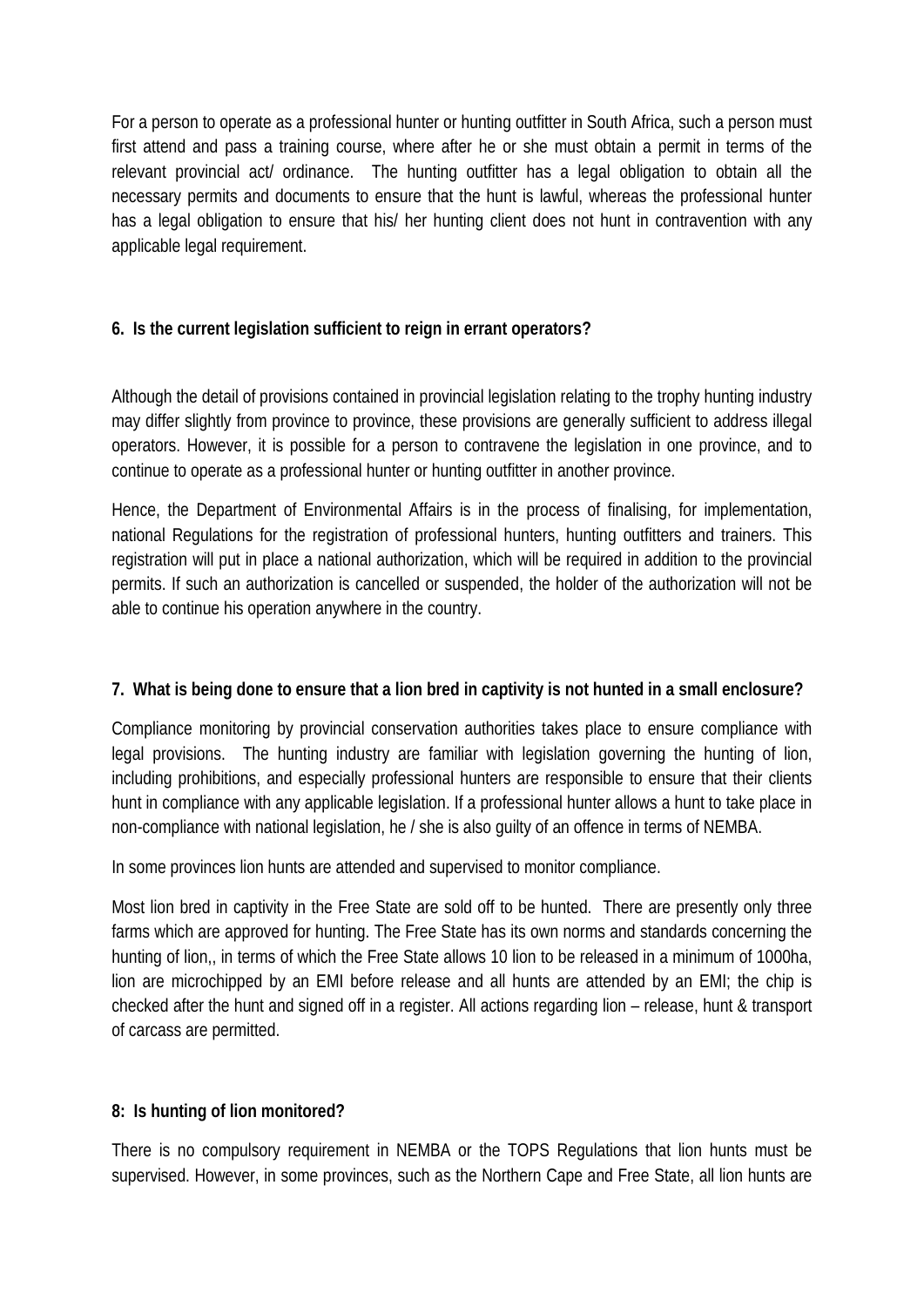For a person to operate as a professional hunter or hunting outfitter in South Africa, such a person must first attend and pass a training course, where after he or she must obtain a permit in terms of the relevant provincial act/ ordinance. The hunting outfitter has a legal obligation to obtain all the necessary permits and documents to ensure that the hunt is lawful, whereas the professional hunter has a legal obligation to ensure that his/ her hunting client does not hunt in contravention with any applicable legal requirement.

# **6. Is the current legislation sufficient to reign in errant operators?**

Although the detail of provisions contained in provincial legislation relating to the trophy hunting industry may differ slightly from province to province, these provisions are generally sufficient to address illegal operators. However, it is possible for a person to contravene the legislation in one province, and to continue to operate as a professional hunter or hunting outfitter in another province.

Hence, the Department of Environmental Affairs is in the process of finalising, for implementation, national Regulations for the registration of professional hunters, hunting outfitters and trainers. This registration will put in place a national authorization, which will be required in addition to the provincial permits. If such an authorization is cancelled or suspended, the holder of the authorization will not be able to continue his operation anywhere in the country.

#### **7. What is being done to ensure that a lion bred in captivity is not hunted in a small enclosure?**

Compliance monitoring by provincial conservation authorities takes place to ensure compliance with legal provisions. The hunting industry are familiar with legislation governing the hunting of lion, including prohibitions, and especially professional hunters are responsible to ensure that their clients hunt in compliance with any applicable legislation. If a professional hunter allows a hunt to take place in non-compliance with national legislation, he / she is also guilty of an offence in terms of NEMBA.

In some provinces lion hunts are attended and supervised to monitor compliance.

Most lion bred in captivity in the Free State are sold off to be hunted. There are presently only three farms which are approved for hunting. The Free State has its own norms and standards concerning the hunting of lion,, in terms of which the Free State allows 10 lion to be released in a minimum of 1000ha, lion are microchipped by an EMI before release and all hunts are attended by an EMI; the chip is checked after the hunt and signed off in a register. All actions regarding lion – release, hunt & transport of carcass are permitted.

#### **8: Is hunting of lion monitored?**

There is no compulsory requirement in NEMBA or the TOPS Regulations that lion hunts must be supervised. However, in some provinces, such as the Northern Cape and Free State, all lion hunts are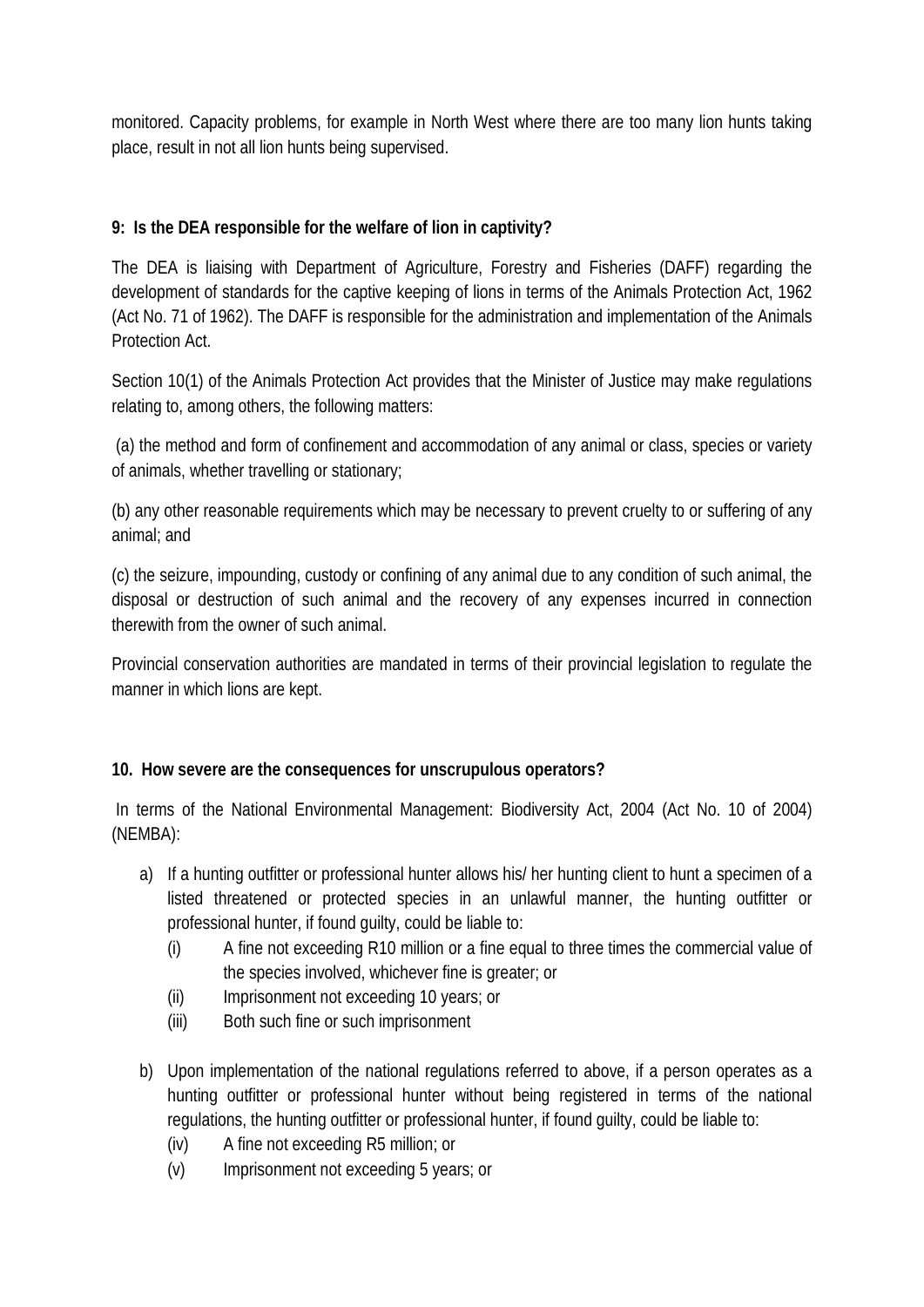monitored. Capacity problems, for example in North West where there are too many lion hunts taking place, result in not all lion hunts being supervised.

# **9: Is the DEA responsible for the welfare of lion in captivity?**

The DEA is liaising with Department of Agriculture, Forestry and Fisheries (DAFF) regarding the development of standards for the captive keeping of lions in terms of the Animals Protection Act, 1962 (Act No. 71 of 1962). The DAFF is responsible for the administration and implementation of the Animals Protection Act.

Section 10(1) of the Animals Protection Act provides that the Minister of Justice may make regulations relating to, among others, the following matters:

(a) the method and form of confinement and accommodation of any animal or class, species or variety of animals, whether travelling or stationary;

(b) any other reasonable requirements which may be necessary to prevent cruelty to or suffering of any animal; and

(c) the seizure, impounding, custody or confining of any animal due to any condition of such animal, the disposal or destruction of such animal and the recovery of any expenses incurred in connection therewith from the owner of such animal.

Provincial conservation authorities are mandated in terms of their provincial legislation to regulate the manner in which lions are kept.

#### **10. How severe are the consequences for unscrupulous operators?**

In terms of the National Environmental Management: Biodiversity Act, 2004 (Act No. 10 of 2004) (NEMBA):

- a) If a hunting outfitter or professional hunter allows his/ her hunting client to hunt a specimen of a listed threatened or protected species in an unlawful manner, the hunting outfitter or professional hunter, if found guilty, could be liable to:
	- (i) A fine not exceeding R10 million or a fine equal to three times the commercial value of the species involved, whichever fine is greater; or
	- (ii) Imprisonment not exceeding 10 years; or
	- (iii) Both such fine or such imprisonment
- b) Upon implementation of the national regulations referred to above, if a person operates as a hunting outfitter or professional hunter without being registered in terms of the national regulations, the hunting outfitter or professional hunter, if found guilty, could be liable to:
	- (iv) A fine not exceeding R5 million; or
	- (v) Imprisonment not exceeding 5 years; or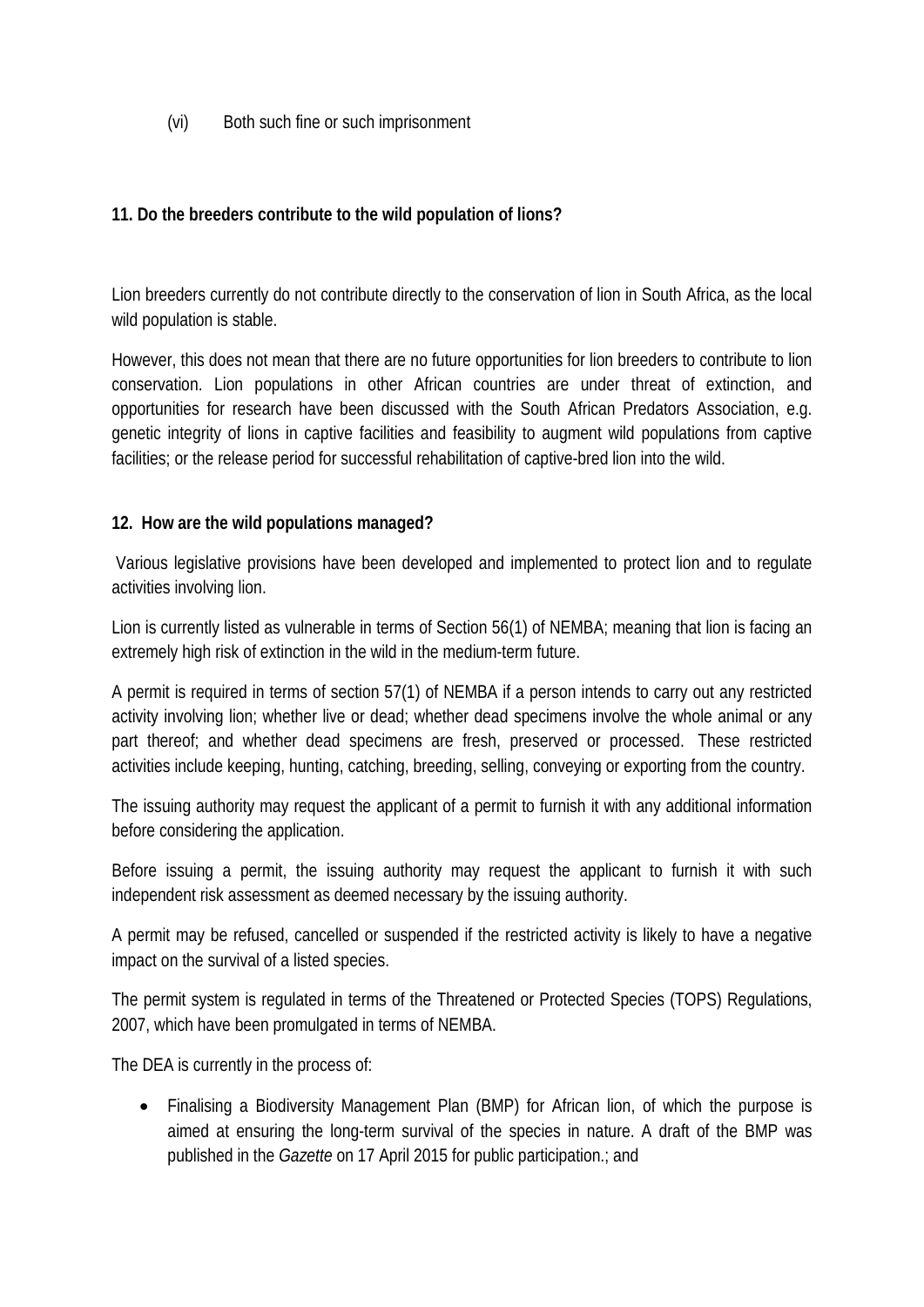(vi) Both such fine or such imprisonment

#### **11. Do the breeders contribute to the wild population of lions?**

Lion breeders currently do not contribute directly to the conservation of lion in South Africa, as the local wild population is stable.

However, this does not mean that there are no future opportunities for lion breeders to contribute to lion conservation. Lion populations in other African countries are under threat of extinction, and opportunities for research have been discussed with the South African Predators Association, e.g. genetic integrity of lions in captive facilities and feasibility to augment wild populations from captive facilities; or the release period for successful rehabilitation of captive-bred lion into the wild.

#### **12. How are the wild populations managed?**

Various legislative provisions have been developed and implemented to protect lion and to regulate activities involving lion.

Lion is currently listed as vulnerable in terms of Section 56(1) of NEMBA; meaning that lion is facing an extremely high risk of extinction in the wild in the medium-term future.

A permit is required in terms of section 57(1) of NEMBA if a person intends to carry out any restricted activity involving lion; whether live or dead; whether dead specimens involve the whole animal or any part thereof; and whether dead specimens are fresh, preserved or processed. These restricted activities include keeping, hunting, catching, breeding, selling, conveying or exporting from the country.

The issuing authority may request the applicant of a permit to furnish it with any additional information before considering the application.

Before issuing a permit, the issuing authority may request the applicant to furnish it with such independent risk assessment as deemed necessary by the issuing authority.

A permit may be refused, cancelled or suspended if the restricted activity is likely to have a negative impact on the survival of a listed species.

The permit system is regulated in terms of the Threatened or Protected Species (TOPS) Regulations, 2007, which have been promulgated in terms of NEMBA.

The DEA is currently in the process of:

• Finalising a Biodiversity Management Plan (BMP) for African lion, of which the purpose is aimed at ensuring the long-term survival of the species in nature. A draft of the BMP was published in the *Gazette* on 17 April 2015 for public participation.; and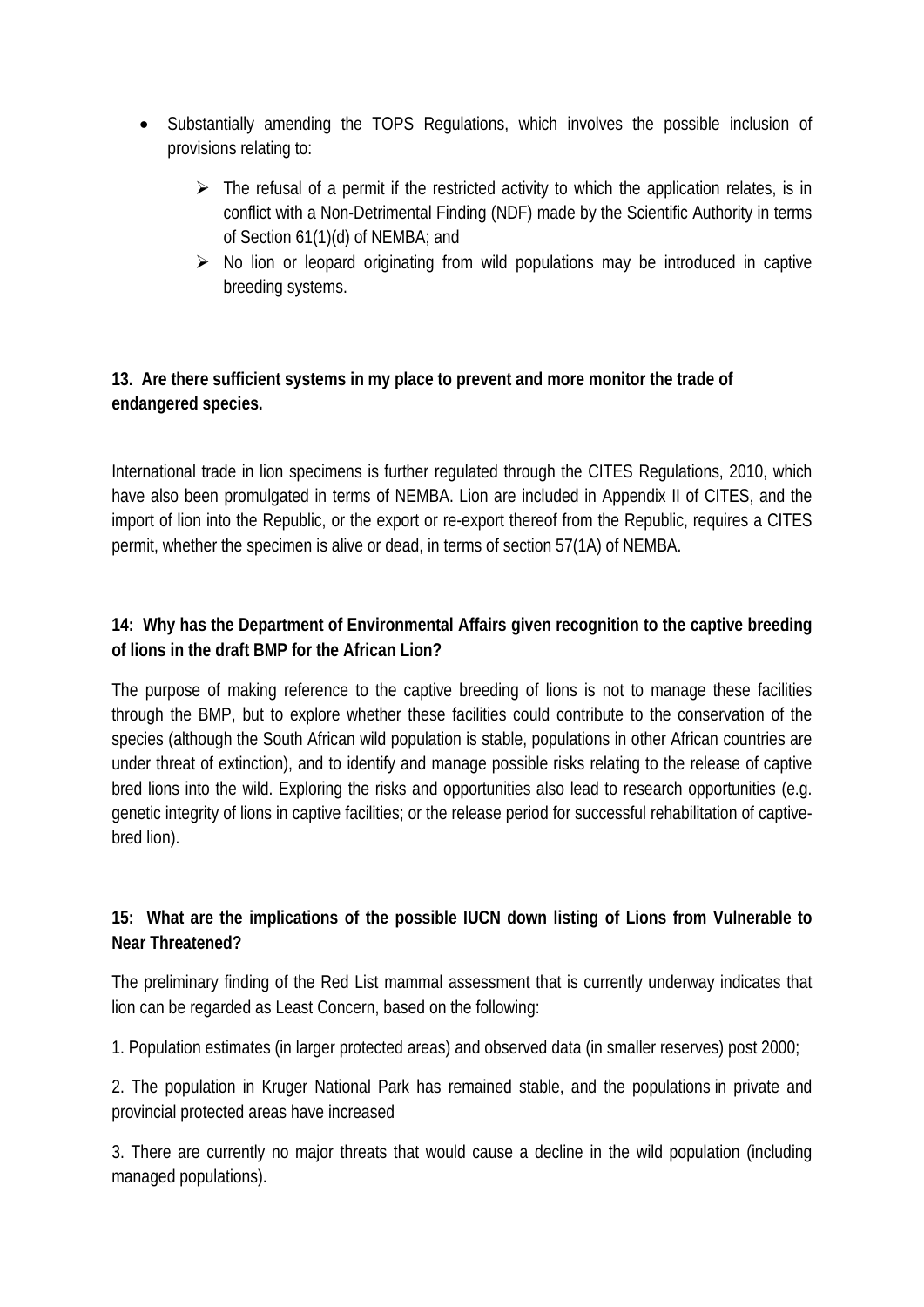- Substantially amending the TOPS Regulations, which involves the possible inclusion of provisions relating to:
	- $\triangleright$  The refusal of a permit if the restricted activity to which the application relates, is in conflict with a Non-Detrimental Finding (NDF) made by the Scientific Authority in terms of Section 61(1)(d) of NEMBA; and
	- $\triangleright$  No lion or leopard originating from wild populations may be introduced in captive breeding systems.

# **13. Are there sufficient systems in my place to prevent and more monitor the trade of endangered species.**

International trade in lion specimens is further regulated through the CITES Regulations, 2010, which have also been promulgated in terms of NEMBA. Lion are included in Appendix II of CITES, and the import of lion into the Republic, or the export or re-export thereof from the Republic, requires a CITES permit, whether the specimen is alive or dead, in terms of section 57(1A) of NEMBA.

# **14: Why has the Department of Environmental Affairs given recognition to the captive breeding of lions in the draft BMP for the African Lion?**

The purpose of making reference to the captive breeding of lions is not to manage these facilities through the BMP, but to explore whether these facilities could contribute to the conservation of the species (although the South African wild population is stable, populations in other African countries are under threat of extinction), and to identify and manage possible risks relating to the release of captive bred lions into the wild. Exploring the risks and opportunities also lead to research opportunities (e.g. genetic integrity of lions in captive facilities; or the release period for successful rehabilitation of captivebred lion).

# **15: What are the implications of the possible IUCN down listing of Lions from Vulnerable to Near Threatened?**

The preliminary finding of the Red List mammal assessment that is currently underway indicates that lion can be regarded as Least Concern, based on the following:

1. Population estimates (in larger protected areas) and observed data (in smaller reserves) post 2000;

2. The population in Kruger National Park has remained stable, and the populations in private and provincial protected areas have increased

3. There are currently no major threats that would cause a decline in the wild population (including managed populations).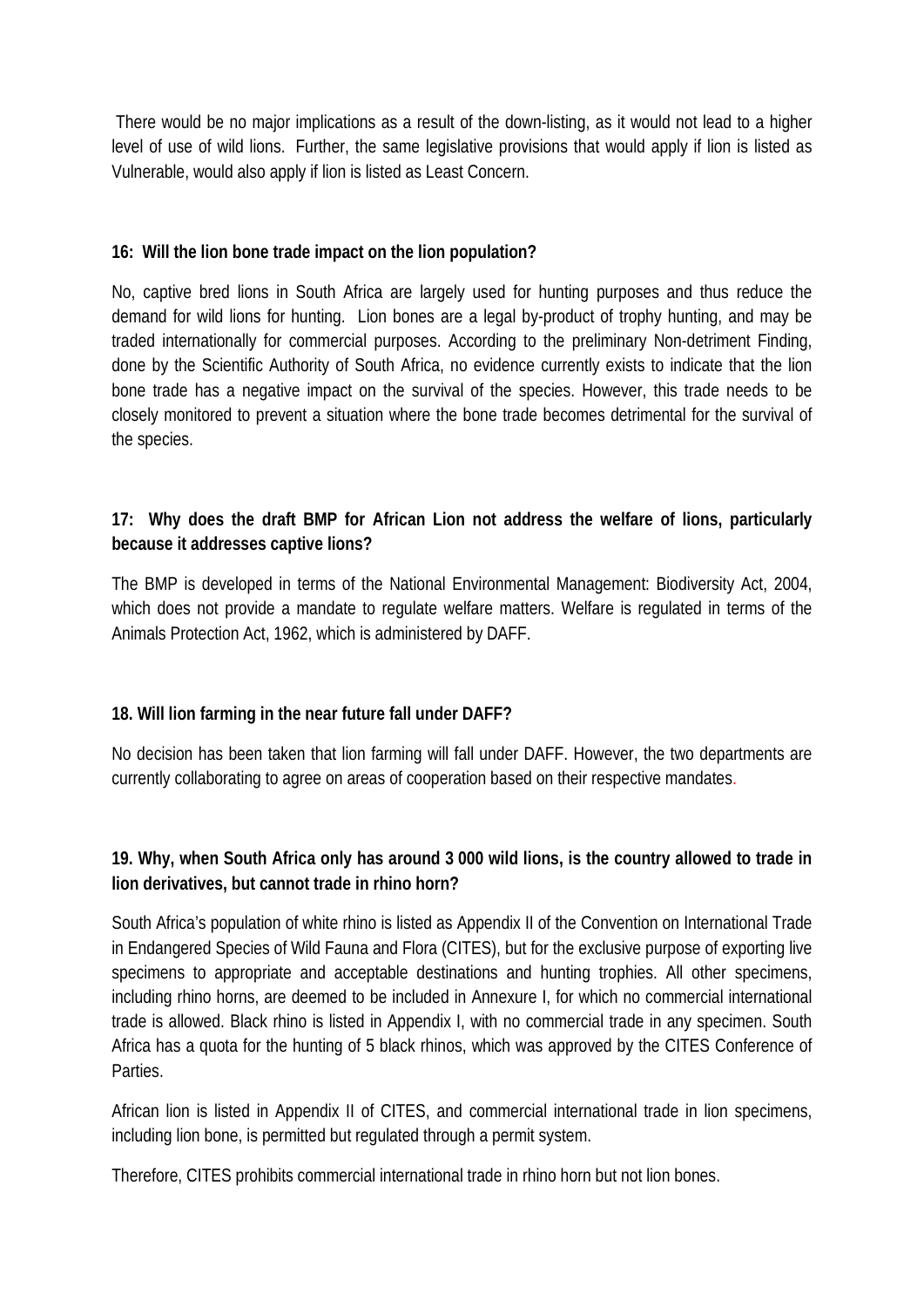There would be no major implications as a result of the down-listing, as it would not lead to a higher level of use of wild lions. Further, the same legislative provisions that would apply if lion is listed as Vulnerable, would also apply if lion is listed as Least Concern.

#### **16: Will the lion bone trade impact on the lion population?**

No, captive bred lions in South Africa are largely used for hunting purposes and thus reduce the demand for wild lions for hunting. Lion bones are a legal by-product of trophy hunting, and may be traded internationally for commercial purposes. According to the preliminary Non-detriment Finding, done by the Scientific Authority of South Africa, no evidence currently exists to indicate that the lion bone trade has a negative impact on the survival of the species. However, this trade needs to be closely monitored to prevent a situation where the bone trade becomes detrimental for the survival of the species.

### **17: Why does the draft BMP for African Lion not address the welfare of lions, particularly because it addresses captive lions?**

The BMP is developed in terms of the National Environmental Management: Biodiversity Act, 2004, which does not provide a mandate to regulate welfare matters. Welfare is regulated in terms of the Animals Protection Act, 1962, which is administered by DAFF.

#### **18. Will lion farming in the near future fall under DAFF?**

No decision has been taken that lion farming will fall under DAFF. However, the two departments are currently collaborating to agree on areas of cooperation based on their respective mandates.

#### **19. Why, when South Africa only has around 3 000 wild lions, is the country allowed to trade in lion derivatives, but cannot trade in rhino horn?**

South Africa's population of white rhino is listed as Appendix II of the Convention on International Trade in Endangered Species of Wild Fauna and Flora (CITES), but for the exclusive purpose of exporting live specimens to appropriate and acceptable destinations and hunting trophies. All other specimens, including rhino horns, are deemed to be included in Annexure I, for which no commercial international trade is allowed. Black rhino is listed in Appendix I, with no commercial trade in any specimen. South Africa has a quota for the hunting of 5 black rhinos, which was approved by the CITES Conference of Parties.

African lion is listed in Appendix II of CITES, and commercial international trade in lion specimens, including lion bone, is permitted but regulated through a permit system.

Therefore, CITES prohibits commercial international trade in rhino horn but not lion bones.